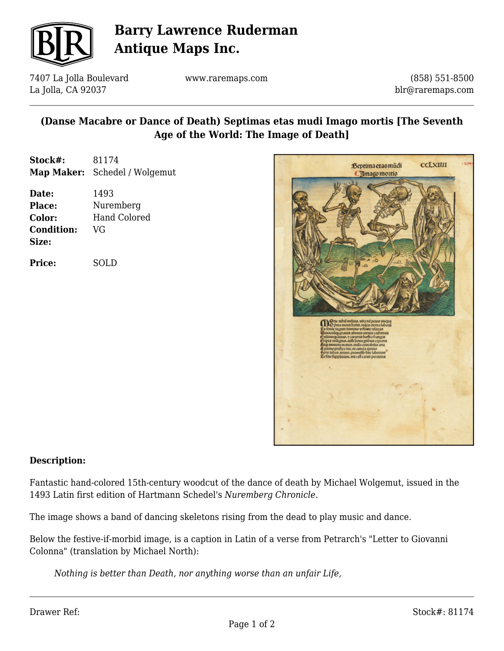

# **Barry Lawrence Ruderman Antique Maps Inc.**

7407 La Jolla Boulevard La Jolla, CA 92037

www.raremaps.com

(858) 551-8500 blr@raremaps.com

### **(Danse Macabre or Dance of Death) Septimas etas mudi Imago mortis [The Seventh Age of the World: The Image of Death]**

| Stock#: | 81174                                |
|---------|--------------------------------------|
|         | <b>Map Maker:</b> Schedel / Wolgemut |

| Date:             | 1493                |
|-------------------|---------------------|
| <b>Place:</b>     | Nuremberg           |
| Color:            | <b>Hand Colored</b> |
| <b>Condition:</b> | VG                  |
| Size:             |                     |

**Price:** SOLD



#### **Description:**

Fantastic hand-colored 15th-century woodcut of the dance of death by Michael Wolgemut, issued in the 1493 Latin first edition of Hartmann Schedel's *Nuremberg Chronicle*.

The image shows a band of dancing skeletons rising from the dead to play music and dance.

Below the festive-if-morbid image, is a caption in Latin of a verse from Petrarch's "Letter to Giovanni Colonna" (translation by Michael North):

*Nothing is better than Death, nor anything worse than an unfair Life,*